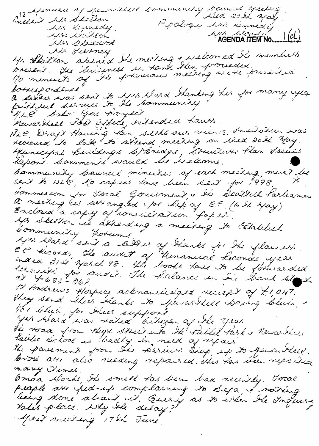12 Aprillis of Rivarthill Community Council yschic Popology was dennedy Als Kinnedy  $| (cL)$ 1435 1809 bon AGENDA ITEM No... NAS BELGER Mr Skelhor abened the meeting & willcomed the members<br>miserit. The luisiness in Hark then proceeded.<br>10 minuets of the previous meeting we're pressibiled Mr Fierney a sexter was sent to yes Nass handing her for many yea Kewasthell Post Office, ortended Laurs. NLC Drags Hausing Han, seeks aus ruins. Invitation was recence to lake to sisend meeting on where 20th May Municipal Binedings 2/Bridge, Bruitaire Plan Issues Kepont. Comments would be iselcome. bammuniky bouncil minuikes of each meiling, must be sent to NLC, ho capies Lave been sent for 1998. bommesion Jor Jozal Gouermand & Sie Scallesk Parliame.<br>A meeting let setiangled Jor Lep as E.C. (6 St May) Enclosed a capy a conssieration fop 23 Community Forums. April Mard sent a letter of thembs for the flowers.<br>CC thronds the audit of Hemancial heavies year.<br>EC thronds the audit of Hemancial heavies year.<br>1232014 for mail. The Balance in the house site.<br>21 Andrews of the school 52 Andrews Hospice acknowledged recept of \$1,047. they send Alier Kanks to Spencestill Doxing Club, før toluti, for Ikees support.<br>1945 Alasa was natio bitsper af Ile yeas The tord from Algh street into the Vulle task's Revarther Public School is hadly in need of ripais<br>The parement from the Barbers Stap up to percentice.<br>Cross are also needing repoised this too been reported many Himes. Coman Alorhi, Il smell tas been baa recently. Total<br>peaple are fed-up complaining to Sepa, I norting<br>being done alrait it. Query as to when the Inquire Mass meeting 17th June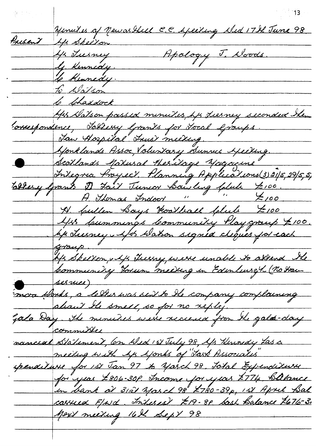Nemiles of Mewarthed C.C. Apeiling Aled 17th June 98 Present Mr Sheeton Apology J. Woods. 4/2 Tuesney ly Kennedy. le Kennedy. to Watson <u>le lehaddock</u> Mps Natson passed minutes hp Lierney seconded the rossespondence, Tallery Grands for Jocal Graups. <u>Jan Hospital Trust meeting.</u> Monklands Assoc, Voluntary Sunnu Heiting. Scotlands Maxusal Hesitage Magazine Integra Proyect Planning Applications (3) 31/5, 29/5, 5, Ellery Grants D Fait Junior Bowling Colube 7:00. N. Cullen Boys Hootball Colub 7,00 445 kummings bomministy Playcraup 7100.<br>44 Juiney Afts Watson signed cliques for each Hz Skelton, Ap Tuesny, were unable to attend the sesnice) moa Works, a letter was sent to the company complaining nancial Statement, Con Wed 157 July 98, Ap Hennedy Las a meeting with Ap Aponts of Jask Associatis" <u>spenditure for 1st Jan 97 to March 98. Total Expenditure</u> for year £806-30f. Income for year £774 Balance in bank at 31al Masch 98 2780-39p, 151 April Bal carried F/wd. Interest £19-80 bash Balance 7676-3. Mex's meeting 16th Sept 98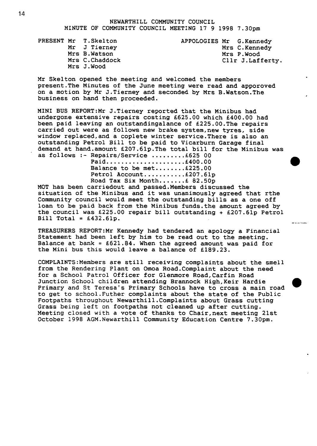**NEWARTHILL COMMUNITY COUNCIL** 

**MINUTE OF COMMUNITY COUNCIL MEETING 17 9 1998 7.30pm** 

|  | PRESENT Mr T.Skelton | APPOLOGIES Mr G. Kennedy |                  |
|--|----------------------|--------------------------|------------------|
|  | Mr J Tierney         |                          | Mrs C.Kennedy    |
|  | Mrs B.Watson         |                          | Mrs P.Wood       |
|  | Mrs C. Chaddock      |                          | Cllr J.Lafferty. |
|  | Mrs J.Wood           |                          |                  |

**Mr Skelton opened the meeting and welcomed the members present,The Minutes of the June meeting were read and apporoved on a motion by Mr J.Tierney and seconded by Mrs B.Watson.The business on hand then proceeded.** 

**MINI BUS REP0RT:Mr J.Tierney reported that the Minibus had undergone extensive repairs costing €625.00 which €400.00 had been paid leaving an outstandingalance of €225.00.The repairs carried out were as follows new brake system,new tyres, side window replaced,and a coplete winter service.There is also an outstanding Petrol Bill to be paid to Vicarburn Garage final**  demand at hand.amount £207.61p.The total bill for the Minibus was<br>as follows :- Repairs/Service ..........£625 00<br>Paid......................£225.00<br>Balance to be met........£225.00 **as follows :- Repairs/Service .........£625 00** 

**Paid.....................€400.00 Balance to be met........€225.00 Road Tax Six Month.......€ 82.50~ Petrol Account** ........... **€207.61~** 

**MOT has been carriedout and passed.Members discussed the situation of the Minibus and it was unanimously agreed that rthe Community council would meet the outstanding bills as a one off loan to be paid back from the Minibus funds.the amount agreed by**  the council was  $£225.00$  repair bill outstanding  $+£207.61p$  Petrol  $Bill Total = £432.61p.$ 

-. - \_-

*0* 

**TREASURERS REP0RT:Mr Kennedy had tendered an apology a Financial Statement had been left by him to be read out to the meeting. Balance at bank** = **€621.84. When the agreed amount was paid for the Mini bus this would leave a balance of €189.23.** 

**COMPLA1NTS:Members are still receiving complaints about the smell from the Rendering Plant on Omoa Road.Complaint about the need for a School Patrol Officer for Glenmore Road,Carfin Road Junction School children attending Brannock High,Keir Hardie Primary and St Teresa's Primary Schools have to cross a main road to get to school.Futher complaints about the state of the Public Footpaths throughout Newarthill.Comp1aints about Grass cutting Grass being left on footpaths not cleaned up after cutting. Meeting closed with a vote of thanks to Chair,next meeting 21st October 1998 AGM.Newarthil1 Community Education Centre 7.30pm.**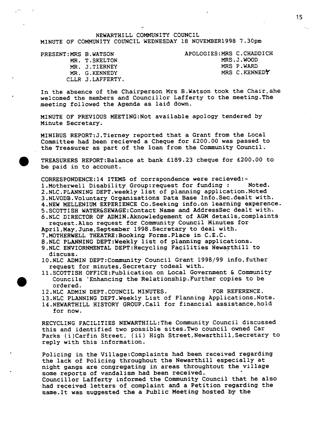NEWARTHILL COMMUNITY COUNCIL

MINUTE OF COMMUNITY COUNCIL WEDNESDAY 18 NOVEMBER1998 7.30pm

PRESENT:MRS **B.WATSON**  *MR.* T.SKELTON *MR.* J . TIERNEY *MR.* G.KENNEDY CLLR J.LAFFERTY. APOLOG1ES:MRS C.CHADDICH **MRS.J.WO0D**  *MRS* **P.WARD**  *MRS* **C.KENNEDY** 

In the absence of the Chairperson Mrs B.Watson took the Chair, she welcomed the members and Councillor Lafferty to the meeting.The meeting followed the Agenda as laid down.

MINUTE OF PREVIOUS MEET1NG:Not available apology tendered by Minute Secretary.

MINIBUS REPORT:J.Tierney reported that a Grant from the Local Committee had been recieved a Cheque for €200.00 was passed to the Treasurer as part of the loan from the Community Council.

TREASURERS REPORT:Balance at bank £189.23 cheque for £200.00 to be paid in to account.

CORRESPONDENCE:14 ITEMS of corrspondence were recieved:- 1.Motherwell Disability Group:request for funding : Noted. 2.NLC.PLANNING DEPT.weekly list of planning application.Noted 3.NLVODB.Voluntary Organisations Data Base 1nfo.Sec.dealt with. 4.NEW MELLENIUM EXPERIENCE Co.Seeking info.on learning experence. 5.SCOTTISH WATER&SEWAGE:Contact Name **and** Addresssec dealt with. 6.NLC DIRECTOR OF ADMIN.Aknow1edgement of AGM details,complaints **April,May,June,September** 1998.Secretary to deal with. 7.MOTHERWELL THEATRE:Booking Forms.Place in C.E.C. 8.NLC PLANNING DEPT:Weekly list of planning applications. 9.NLC ENVIORNMENTAL DEPT:Recycling Facilities Newarthill to request. Also request for Community Council Minutes for

10.NLC ADMIN DEPT:Community Council Grant 1998/99 info,futher discuss. request for minutes,Secretary todeal with.

- 11.SCOTTISH 0FFICE:Publication on Local Government & Community Councils 'Enhancing the Relationship.Further copies to be ordered.
- 12.NLC ADMIN DEPT.COUNC1L MINUTES. FOR REFERENCE.
- 13.NLC PLANNING DEPT.Weekly List of Planning Applications.Note.
- 14.NEWARTHILL HISTORY GROUP.Cal1 for financial assistance,hold for now.

RECYCLING FACILITIES NEWARTH1LL:The Community Council discussed this and identified two possible sites.Two council owned Car Parks (i)Carfin Street, (ii) High **Street,Newarthill,Secretary** to reply with this information.

Policing in the Vil1age:Complaints had been received regarding the lack of Policing throughout the Newarthill especially at night gangs are congregating in areas throughtout the village some reports of vandalism had been received. Councillor Lafferty informed the Community Council that he also had received letters of complaint and a Petition regarding the same.It was suggested the **a** Public Meeting hosted by the